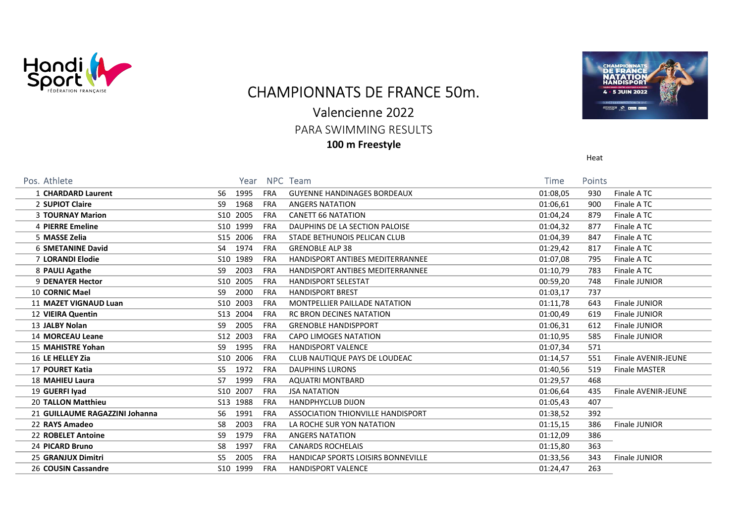

# CHAMPIONNATS DE FRANCE 50m.

### Valencienne 2022

PARA SWIMMING RESULTS

100 m Freestyle



Heat

| Pos. Athlete                   | Year                     | NPC Team                                  | <b>Time</b> | Points |                      |
|--------------------------------|--------------------------|-------------------------------------------|-------------|--------|----------------------|
| 1 CHARDARD Laurent             | 1995<br><b>FRA</b><br>S6 | <b>GUYENNE HANDINAGES BORDEAUX</b>        | 01:08,05    | 930    | Finale ATC           |
| 2 SUPIOT Claire                | 1968<br>S9<br><b>FRA</b> | <b>ANGERS NATATION</b>                    | 01:06,61    | 900    | Finale ATC           |
| <b>3 TOURNAY Marion</b>        | S10 2005<br><b>FRA</b>   | <b>CANETT 66 NATATION</b>                 | 01:04,24    | 879    | Finale ATC           |
| 4 PIERRE Emeline               | S10 1999<br><b>FRA</b>   | DAUPHINS DE LA SECTION PALOISE            | 01:04,32    | 877    | Finale ATC           |
| 5 MASSE Zelia                  | S15 2006<br><b>FRA</b>   | STADE BETHUNOIS PELICAN CLUB              | 01:04,39    | 847    | Finale ATC           |
| <b>6 SMETANINE David</b>       | S4 1974<br><b>FRA</b>    | <b>GRENOBLE ALP 38</b>                    | 01:29,42    | 817    | Finale ATC           |
| <b>7 LORANDI Elodie</b>        | S10 1989<br><b>FRA</b>   | HANDISPORT ANTIBES MEDITERRANNEE          | 01:07,08    | 795    | Finale ATC           |
| 8 PAULI Agathe                 | 2003<br>S9<br><b>FRA</b> | HANDISPORT ANTIBES MEDITERRANNEE          | 01:10,79    | 783    | Finale ATC           |
| 9 DENAYER Hector               | S10 2005<br><b>FRA</b>   | <b>HANDISPORT SELESTAT</b>                | 00:59,20    | 748    | Finale JUNIOR        |
| 10 CORNIC Mael                 | 2000<br>S9<br><b>FRA</b> | <b>HANDISPORT BREST</b>                   | 01:03,17    | 737    |                      |
| <b>11 MAZET VIGNAUD Luan</b>   | S10 2003<br><b>FRA</b>   | MONTPELLIER PAILLADE NATATION             | 01:11,78    | 643    | Finale JUNIOR        |
| 12 VIEIRA Quentin              | S13 2004<br><b>FRA</b>   | <b>RC BRON DECINES NATATION</b>           | 01:00,49    | 619    | Finale JUNIOR        |
| 13 JALBY Nolan                 | 2005<br>S9<br><b>FRA</b> | <b>GRENOBLE HANDISPPORT</b>               | 01:06,31    | 612    | Finale JUNIOR        |
| 14 MORCEAU Leane               | S12 2003<br><b>FRA</b>   | CAPO LIMOGES NATATION                     | 01:10,95    | 585    | Finale JUNIOR        |
| 15 MAHISTRE Yohan              | 1995<br>S9<br><b>FRA</b> | <b>HANDISPORT VALENCE</b>                 | 01:07,34    | 571    |                      |
| 16 LE HELLEY Zia               | S10 2006<br><b>FRA</b>   | CLUB NAUTIQUE PAYS DE LOUDEAC             | 01:14,57    | 551    | Finale AVENIR-JEUNE  |
| <b>17 POURET Katia</b>         | 1972<br>S5<br><b>FRA</b> | <b>DAUPHINS LURONS</b>                    | 01:40,56    | 519    | <b>Finale MASTER</b> |
| 18 MAHIEU Laura                | 1999<br>S7<br><b>FRA</b> | <b>AQUATRI MONTBARD</b>                   | 01:29,57    | 468    |                      |
| 19 GUERFI Iyad                 | S10 2007<br><b>FRA</b>   | <b>JSA NATATION</b>                       | 01:06,64    | 435    | Finale AVENIR-JEUNE  |
| <b>20 TALLON Matthieu</b>      | S13 1988<br><b>FRA</b>   | <b>HANDPHYCLUB DIJON</b>                  | 01:05,43    | 407    |                      |
| 21 GUILLAUME RAGAZZINI Johanna | 1991<br>S6<br><b>FRA</b> | ASSOCIATION THIONVILLE HANDISPORT         | 01:38,52    | 392    |                      |
| 22 RAYS Amadeo                 | 2003<br>S8<br><b>FRA</b> | LA ROCHE SUR YON NATATION                 | 01:15,15    | 386    | Finale JUNIOR        |
| 22 ROBELET Antoine             | S9<br>1979<br><b>FRA</b> | <b>ANGERS NATATION</b>                    | 01:12,09    | 386    |                      |
| 24 PICARD Bruno                | 1997<br><b>FRA</b><br>S8 | <b>CANARDS ROCHELAIS</b>                  | 01:15,80    | 363    |                      |
| 25 GRANJUX Dimitri             | 2005<br>S5<br><b>FRA</b> | <b>HANDICAP SPORTS LOISIRS BONNEVILLE</b> | 01:33,56    | 343    | Finale JUNIOR        |
| 26 COUSIN Cassandre            | S10 1999<br><b>FRA</b>   | <b>HANDISPORT VALENCE</b>                 | 01:24,47    | 263    |                      |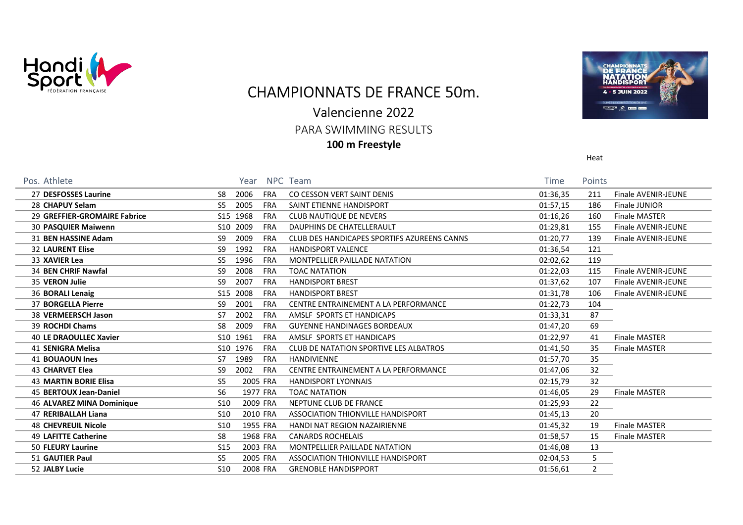

### CHAMPIONNATS DE FRANCE 50m.

#### Valencienne 2022

PARA SWIMMING RESULTS

100 m Freestyle



Heat

| Pos. Athlete                  |                 | Year     |            | NPC Team                                    | Time     | Points         |                      |
|-------------------------------|-----------------|----------|------------|---------------------------------------------|----------|----------------|----------------------|
| 27 DESFOSSES Laurine          | S8              | 2006     | <b>FRA</b> | CO CESSON VERT SAINT DENIS                  | 01:36,35 | 211            | Finale AVENIR-JEUNE  |
| 28 CHAPUY Selam               | S5              | 2005     | <b>FRA</b> | SAINT ETIENNE HANDISPORT                    | 01:57,15 | 186            | Finale JUNIOR        |
| 29 GREFFIER-GROMAIRE Fabrice  |                 | S15 1968 | <b>FRA</b> | CLUB NAUTIQUE DE NEVERS                     | 01:16,26 | 160            | <b>Finale MASTER</b> |
| <b>30 PASQUIER Maiwenn</b>    |                 | S10 2009 | <b>FRA</b> | DAUPHINS DE CHATELLERAULT                   | 01:29,81 | 155            | Finale AVENIR-JEUNE  |
| 31 BEN HASSINE Adam           | S9              | 2009     | <b>FRA</b> | CLUB DES HANDICAPES SPORTIFS AZUREENS CANNS | 01:20,77 | 139            | Finale AVENIR-JEUNE  |
| <b>32 LAURENT Elise</b>       | S9.             | 1992     | <b>FRA</b> | <b>HANDISPORT VALENCE</b>                   | 01:36,54 | 121            |                      |
| 33 XAVIER Lea                 | S5              | 1996     | <b>FRA</b> | MONTPELLIER PAILLADE NATATION               | 02:02,62 | 119            |                      |
| 34 BEN CHRIF Nawfal           | S9              | 2008     | FRA        | <b>TOAC NATATION</b>                        | 01:22,03 | 115            | Finale AVENIR-JEUNE  |
| 35 VERON Julie                | S <sub>9</sub>  | 2007     | <b>FRA</b> | <b>HANDISPORT BREST</b>                     | 01:37,62 | 107            | Finale AVENIR-JEUNE  |
| 36 BORALI Lenaig              | S15             | 2008     | <b>FRA</b> | <b>HANDISPORT BREST</b>                     | 01:31,78 | 106            | Finale AVENIR-JEUNE  |
| 37 BORGELLA Pierre            | S9              | 2001     | <b>FRA</b> | CENTRE ENTRAINEMENT A LA PERFORMANCE        | 01:22,73 | 104            |                      |
| 38 VERMEERSCH Jason           | S7              | 2002     | <b>FRA</b> | AMSLF SPORTS ET HANDICAPS                   | 01:33,31 | 87             |                      |
| 39 ROCHDI Chams               | S8              | 2009     | <b>FRA</b> | <b>GUYENNE HANDINAGES BORDEAUX</b>          | 01:47,20 | 69             |                      |
| <b>40 LE DRAOULLEC Xavier</b> |                 | S10 1961 | <b>FRA</b> | AMSLF SPORTS ET HANDICAPS                   | 01:22,97 | 41             | <b>Finale MASTER</b> |
| 41 SENIGRA Melisa             |                 | S10 1976 | <b>FRA</b> | CLUB DE NATATION SPORTIVE LES ALBATROS      | 01:41,50 | 35             | <b>Finale MASTER</b> |
| <b>41 BOUAOUN Ines</b>        | S7              | 1989     | <b>FRA</b> | <b>HANDIVIENNE</b>                          | 01:57,70 | 35             |                      |
| <b>43 CHARVET Elea</b>        | S9              | 2002     | <b>FRA</b> | CENTRE ENTRAINEMENT A LA PERFORMANCE        | 01:47,06 | 32             |                      |
| <b>43 MARTIN BORIE Elisa</b>  | S5              |          | 2005 FRA   | <b>HANDISPORT LYONNAIS</b>                  | 02:15,79 | 32             |                      |
| 45 BERTOUX Jean-Daniel        | S6              |          | 1977 FRA   | <b>TOAC NATATION</b>                        | 01:46,05 | 29             | <b>Finale MASTER</b> |
| 46 ALVAREZ MINA Dominique     | S <sub>10</sub> |          | 2009 FRA   | NEPTUNE CLUB DE FRANCE                      | 01:25,93 | 22             |                      |
| 47 RERIBALLAH Liana           | S <sub>10</sub> |          | 2010 FRA   | ASSOCIATION THIONVILLE HANDISPORT           | 01:45,13 | 20             |                      |
| <b>48 CHEVREUIL Nicole</b>    | S <sub>10</sub> |          | 1955 FRA   | <b>HANDI NAT REGION NAZAIRIENNE</b>         | 01:45,32 | 19             | Finale MASTER        |
| <b>49 LAFITTE Catherine</b>   | S8              |          | 1968 FRA   | <b>CANARDS ROCHELAIS</b>                    | 01:58,57 | 15             | <b>Finale MASTER</b> |
| 50 FLEURY Laurine             | S <sub>15</sub> |          | 2003 FRA   | <b>MONTPELLIER PAILLADE NATATION</b>        | 01:46,08 | 13             |                      |
| 51 GAUTIER Paul               | S5              |          | 2005 FRA   | ASSOCIATION THIONVILLE HANDISPORT           | 02:04,53 | 5              |                      |
| 52 JALBY Lucie                | S <sub>10</sub> |          | 2008 FRA   | <b>GRENOBLE HANDISPPORT</b>                 | 01:56,61 | $\overline{2}$ |                      |